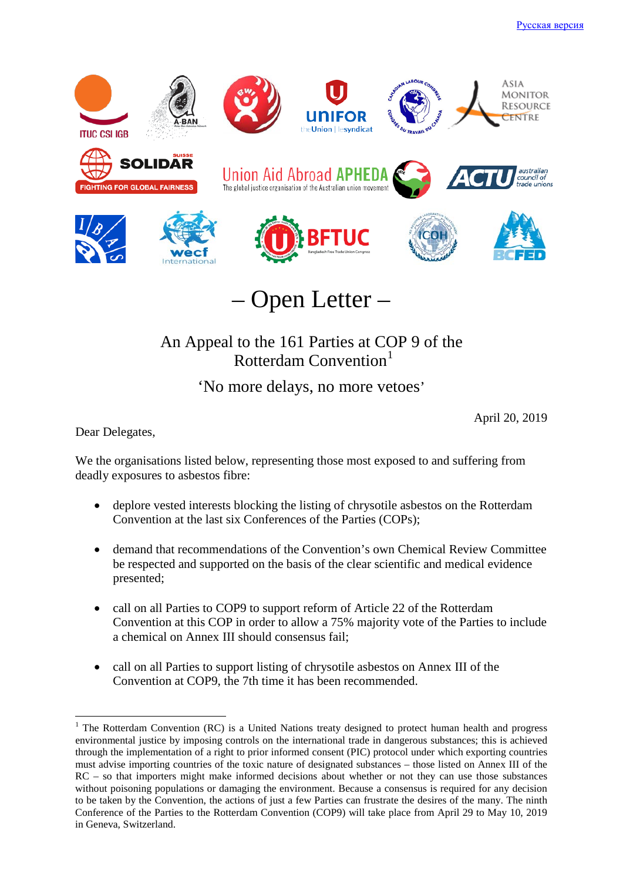

– Open Letter –

# An Appeal to the 161 Parties at COP 9 of the Rotterdam Convention<sup>[1](#page-0-0)</sup>

'No more delays, no more vetoes'

April 20, 2019

Dear Delegates,

We the organisations listed below, representing those most exposed to and suffering from deadly exposures to asbestos fibre:

- deplore vested interests blocking the listing of chrysotile asbestos on the Rotterdam Convention at the last six Conferences of the Parties (COPs);
- demand that recommendations of the Convention's own Chemical Review Committee be respected and supported on the basis of the clear scientific and medical evidence presented;
- call on all Parties to COP9 to support reform of Article 22 of the Rotterdam Convention at this COP in order to allow a 75% majority vote of the Parties to include a chemical on Annex III should consensus fail;
- call on all Parties to support listing of chrysotile asbestos on Annex III of the Convention at COP9, the 7th time it has been recommended.

<span id="page-0-0"></span><sup>&</sup>lt;sup>1</sup> The Rotterdam Convention (RC) is a United Nations treaty designed to protect human health and progress environmental justice by imposing controls on the international trade in dangerous substances; this is achieved through the implementation of a right to prior informed consent (PIC) protocol under which exporting countries must advise importing countries of the toxic nature of designated substances – those listed on Annex III of the RC – so that importers might make informed decisions about whether or not they can use those substances without poisoning populations or damaging the environment. Because a consensus is required for any decision to be taken by the Convention, the actions of just a few Parties can frustrate the desires of the many. The ninth Conference of the Parties to the Rotterdam Convention (COP9) will take place from April 29 to May 10, 2019 in Geneva, Switzerland.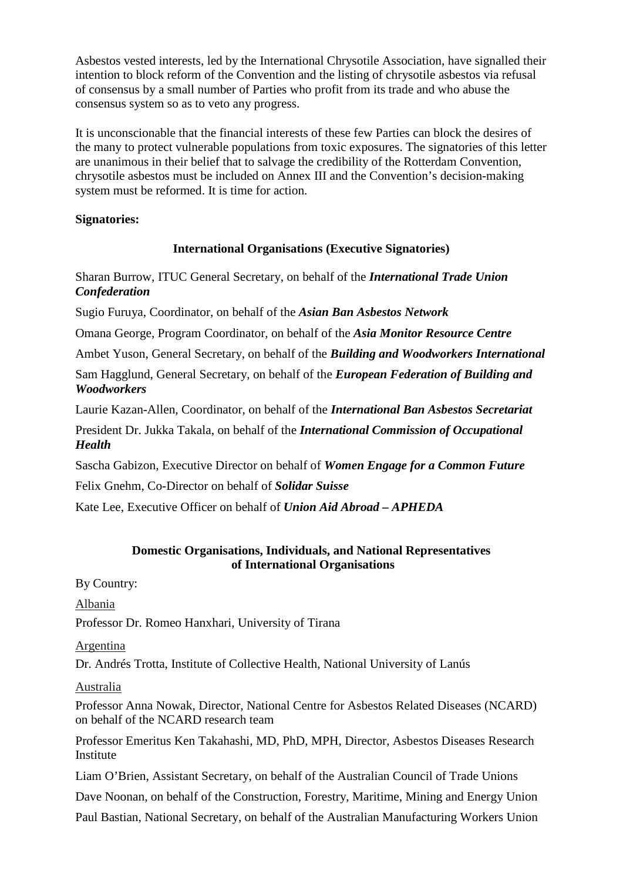Asbestos vested interests, led by the International Chrysotile Association, have signalled their intention to block reform of the Convention and the listing of chrysotile asbestos via refusal of consensus by a small number of Parties who profit from its trade and who abuse the consensus system so as to veto any progress.

It is unconscionable that the financial interests of these few Parties can block the desires of the many to protect vulnerable populations from toxic exposures. The signatories of this letter are unanimous in their belief that to salvage the credibility of the Rotterdam Convention, chrysotile asbestos must be included on Annex III and the Convention's decision-making system must be reformed. It is time for action.

#### **Signatories:**

# **International Organisations (Executive Signatories)**

Sharan Burrow, ITUC General Secretary, on behalf of the *International Trade Union Confederation*

Sugio Furuya, Coordinator, on behalf of the *Asian Ban Asbestos Network*

Omana George, Program Coordinator, on behalf of the *Asia Monitor Resource Centre*

Ambet Yuson, General Secretary, on behalf of the *Building and Woodworkers International* 

Sam Hagglund, General Secretary, on behalf of the *European Federation of Building and Woodworkers*

Laurie Kazan-Allen, Coordinator, on behalf of the *International Ban Asbestos Secretariat*

President Dr. Jukka Takala, on behalf of the *International Commission of Occupational Health*

Sascha Gabizon, Executive Director on behalf of *Women Engage for a Common Future*

Felix Gnehm, Co-Director on behalf of *Solidar Suisse*

Kate Lee, Executive Officer on behalf of *Union Aid Abroad – APHEDA*

## **Domestic Organisations, Individuals, and National Representatives of International Organisations**

By Country:

Albania

Professor Dr. Romeo Hanxhari, University of Tirana

Argentina

Dr. Andrés Trotta, Institute of Collective Health, National University of Lanús

#### Australia

Professor Anna Nowak, Director, National Centre for Asbestos Related Diseases (NCARD) on behalf of the NCARD research team

Professor Emeritus Ken Takahashi, MD, PhD, MPH, Director, Asbestos Diseases Research **Institute** 

Liam O'Brien, Assistant Secretary, on behalf of the Australian Council of Trade Unions

Dave Noonan, on behalf of the Construction, Forestry, Maritime, Mining and Energy Union

Paul Bastian, National Secretary, on behalf of the Australian Manufacturing Workers Union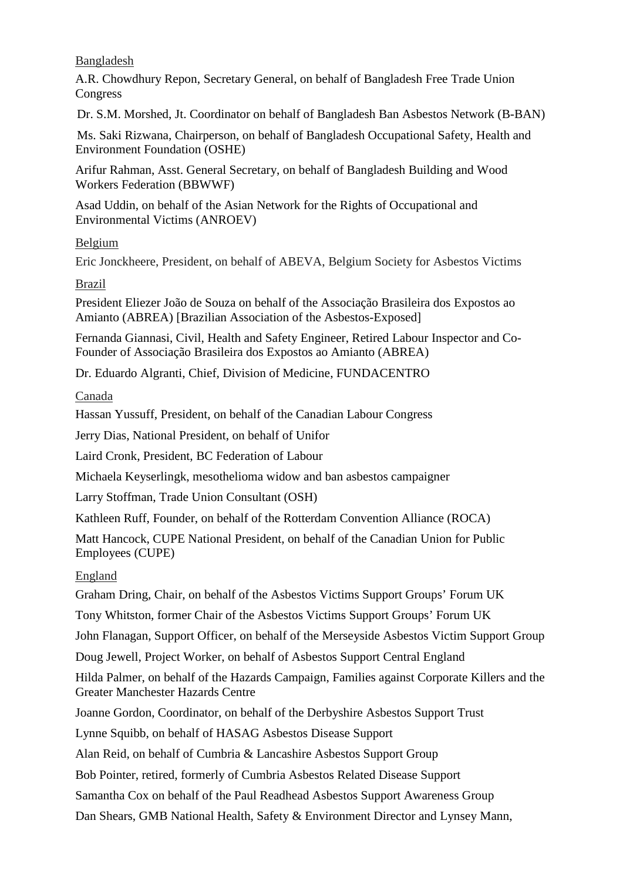Bangladesh

A.R. Chowdhury Repon, Secretary General, on behalf of Bangladesh Free Trade Union Congress

Dr. S.M. Morshed, Jt. Coordinator on behalf of Bangladesh Ban Asbestos Network (B-BAN)

Ms. Saki Rizwana, Chairperson, on behalf of Bangladesh Occupational Safety, Health and Environment Foundation (OSHE)

Arifur Rahman, Asst. General Secretary, on behalf of Bangladesh Building and Wood Workers Federation (BBWWF)

Asad Uddin, on behalf of the Asian Network for the Rights of Occupational and Environmental Victims (ANROEV)

## Belgium

Eric Jonckheere, President, on behalf of ABEVA, Belgium Society for Asbestos Victims

# Brazil

President Eliezer João de Souza on behalf of the Associação Brasileira dos Expostos ao Amianto (ABREA) [Brazilian Association of the Asbestos-Exposed]

Fernanda Giannasi, Civil, Health and Safety Engineer, Retired Labour Inspector and Co-Founder of Associação Brasileira dos Expostos ao Amianto (ABREA)

Dr. Eduardo Algranti, Chief, Division of Medicine, FUNDACENTRO

Canada

Hassan Yussuff, President, on behalf of the Canadian Labour Congress

Jerry Dias, National President, on behalf of Unifor

Laird Cronk, President, BC Federation of Labour

Michaela Keyserlingk, mesothelioma widow and ban asbestos campaigner

Larry Stoffman, Trade Union Consultant (OSH)

Kathleen Ruff, Founder, on behalf of the Rotterdam Convention Alliance (ROCA)

Matt Hancock, CUPE National President, on behalf of the Canadian Union for Public Employees (CUPE)

# England

Graham Dring, Chair, on behalf of the Asbestos Victims Support Groups' Forum UK

Tony Whitston, former Chair of the Asbestos Victims Support Groups' Forum UK

John Flanagan, Support Officer, on behalf of the Merseyside Asbestos Victim Support Group

Doug Jewell, Project Worker, on behalf of Asbestos Support Central England

Hilda Palmer, on behalf of the Hazards Campaign, Families against Corporate Killers and the Greater Manchester Hazards Centre

Joanne Gordon, Coordinator, on behalf of the Derbyshire Asbestos Support Trust

Lynne Squibb, on behalf of HASAG Asbestos Disease Support

Alan Reid, on behalf of Cumbria & Lancashire Asbestos Support Group

Bob Pointer, retired, formerly of Cumbria Asbestos Related Disease Support

Samantha Cox on behalf of the Paul Readhead Asbestos Support Awareness Group

Dan Shears, GMB National Health, Safety & Environment Director and Lynsey Mann,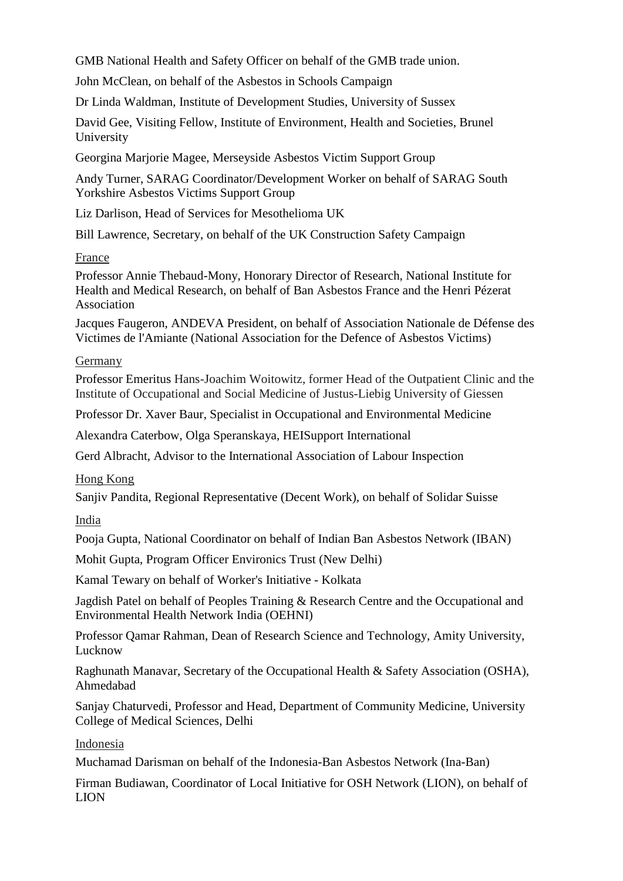GMB National Health and Safety Officer on behalf of the GMB trade union.

John McClean, on behalf of the Asbestos in Schools Campaign

Dr Linda Waldman, Institute of Development Studies, University of Sussex

David Gee, Visiting Fellow, Institute of Environment, Health and Societies, Brunel University

Georgina Marjorie Magee, Merseyside Asbestos Victim Support Group

Andy Turner, SARAG Coordinator/Development Worker on behalf of SARAG South Yorkshire Asbestos Victims Support Group

Liz Darlison, Head of Services for Mesothelioma UK

Bill Lawrence, Secretary, on behalf of the UK Construction Safety Campaign

#### France

Professor Annie Thebaud-Mony, Honorary Director of Research, National Institute for Health and Medical Research, on behalf of Ban Asbestos France and the Henri Pézerat Association

Jacques Faugeron, ANDEVA President, on behalf of Association Nationale de Défense des Victimes de l'Amiante (National Association for the Defence of Asbestos Victims)

## Germany

Professor Emeritus Hans-Joachim Woitowitz, former Head of the Outpatient Clinic and the Institute of Occupational and Social Medicine of Justus-Liebig University of Giessen

Professor Dr. Xaver Baur, Specialist in Occupational and Environmental Medicine

Alexandra Caterbow, Olga Speranskaya, HEISupport International

Gerd Albracht, Advisor to the International Association of Labour Inspection

Hong Kong

Sanjiv Pandita, Regional Representative (Decent Work), on behalf of Solidar Suisse

India

Pooja Gupta, National Coordinator on behalf of Indian Ban Asbestos Network (IBAN)

Mohit Gupta, Program Officer Environics Trust (New Delhi)

Kamal Tewary on behalf of Worker's Initiative - Kolkata

Jagdish Patel on behalf of Peoples Training & Research Centre and the Occupational and Environmental Health Network India (OEHNI)

Professor Qamar Rahman, Dean of Research Science and Technology, Amity University, Lucknow

Raghunath Manavar, Secretary of the Occupational Health & Safety Association (OSHA), Ahmedabad

Sanjay Chaturvedi, Professor and Head, Department of Community Medicine, University College of Medical Sciences, Delhi

# Indonesia

Muchamad Darisman on behalf of the Indonesia-Ban Asbestos Network (Ina-Ban)

Firman Budiawan, Coordinator of Local Initiative for OSH Network (LION), on behalf of LION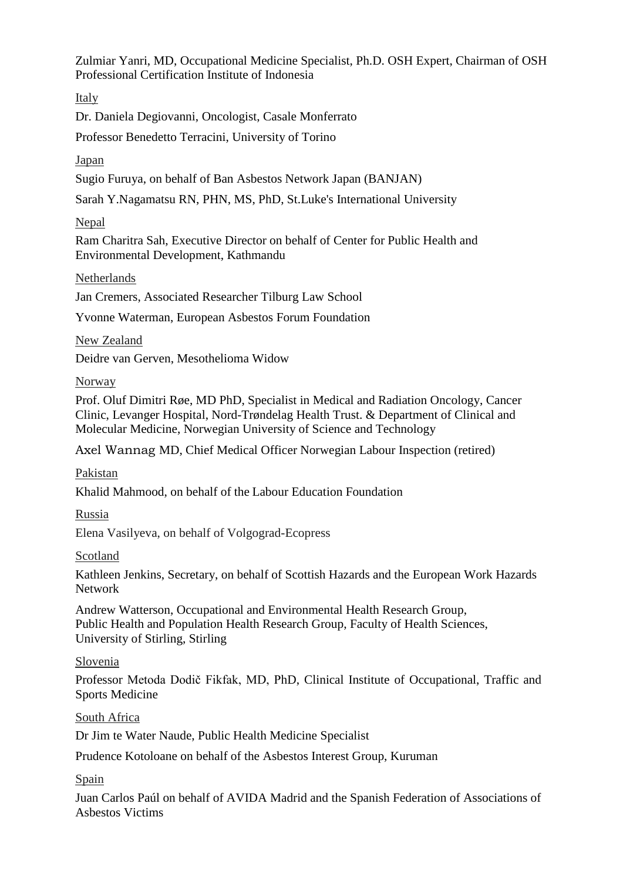Zulmiar Yanri, MD, Occupational Medicine Specialist, Ph.D. OSH Expert, Chairman of OSH Professional Certification Institute of Indonesia

Italy

Dr. Daniela Degiovanni, Oncologist, Casale Monferrato

Professor Benedetto Terracini, University of Torino

Japan

Sugio Furuya, on behalf of Ban Asbestos Network Japan (BANJAN)

Sarah Y.Nagamatsu RN, PHN, MS, PhD, St.Luke's International University

Nepal

Ram Charitra Sah, Executive Director on behalf of Center for Public Health and Environmental Development, Kathmandu

Netherlands

Jan Cremers, Associated Researcher Tilburg Law School

Yvonne Waterman, European Asbestos Forum Foundation

New Zealand

Deidre van Gerven, Mesothelioma Widow

Norway

Prof. Oluf Dimitri Røe, MD PhD, Specialist in Medical and Radiation Oncology, Cancer Clinic, Levanger Hospital, Nord-Trøndelag Health Trust. & Department of Clinical and Molecular Medicine, Norwegian University of Science and Technology

Axel Wannag MD, Chief Medical Officer Norwegian Labour Inspection (retired)

Pakistan

Khalid Mahmood, on behalf of the Labour Education Foundation

Russia

Elena Vasilyeva, on behalf of Volgograd-Ecopress

Scotland

Kathleen Jenkins, Secretary, on behalf of Scottish Hazards and the European Work Hazards Network

Andrew Watterson, Occupational and Environmental Health Research Group, Public Health and Population Health Research Group, Faculty of Health Sciences, University of Stirling, Stirling

# Slovenia

Professor Metoda Dodič Fikfak, MD, PhD, Clinical Institute of Occupational, Traffic and Sports Medicine

South Africa

Dr Jim te Water Naude, Public Health Medicine Specialist

Prudence Kotoloane on behalf of the Asbestos Interest Group, Kuruman

Spain

Juan Carlos Paúl on behalf of AVIDA Madrid and the Spanish Federation of Associations of Asbestos Victims